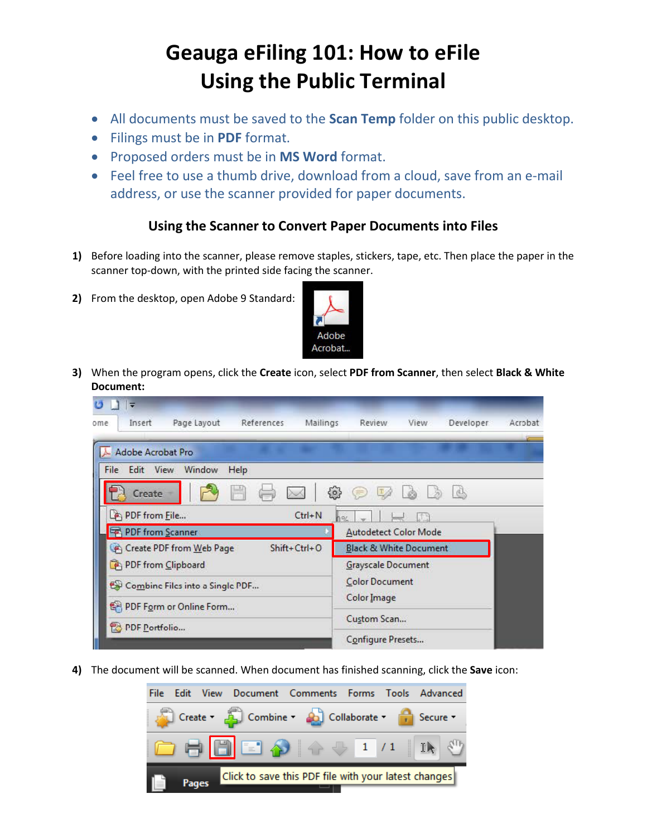## **Geauga eFiling 101: How to eFile Using the Public Terminal**

- All documents must be saved to the **Scan Temp** folder on this public desktop.
- Filings must be in **PDF** format.
- Proposed orders must be in **MS Word** format.
- Feel free to use a thumb drive, download from a cloud, save from an e-mail address, or use the scanner provided for paper documents.

## **Using the Scanner to Convert Paper Documents into Files**

- **1)** Before loading into the scanner, please remove staples, stickers, tape, etc. Then place the paper in the scanner top-down, with the printed side facing the scanner.
- **2)** From the desktop, open Adobe 9 Standard:



**3)** When the program opens, click the **Create** icon, select **PDF from Scanner**, then select **Black & White Document:** 



**4)** The document will be scanned. When document has finished scanning, click the **Save** icon: